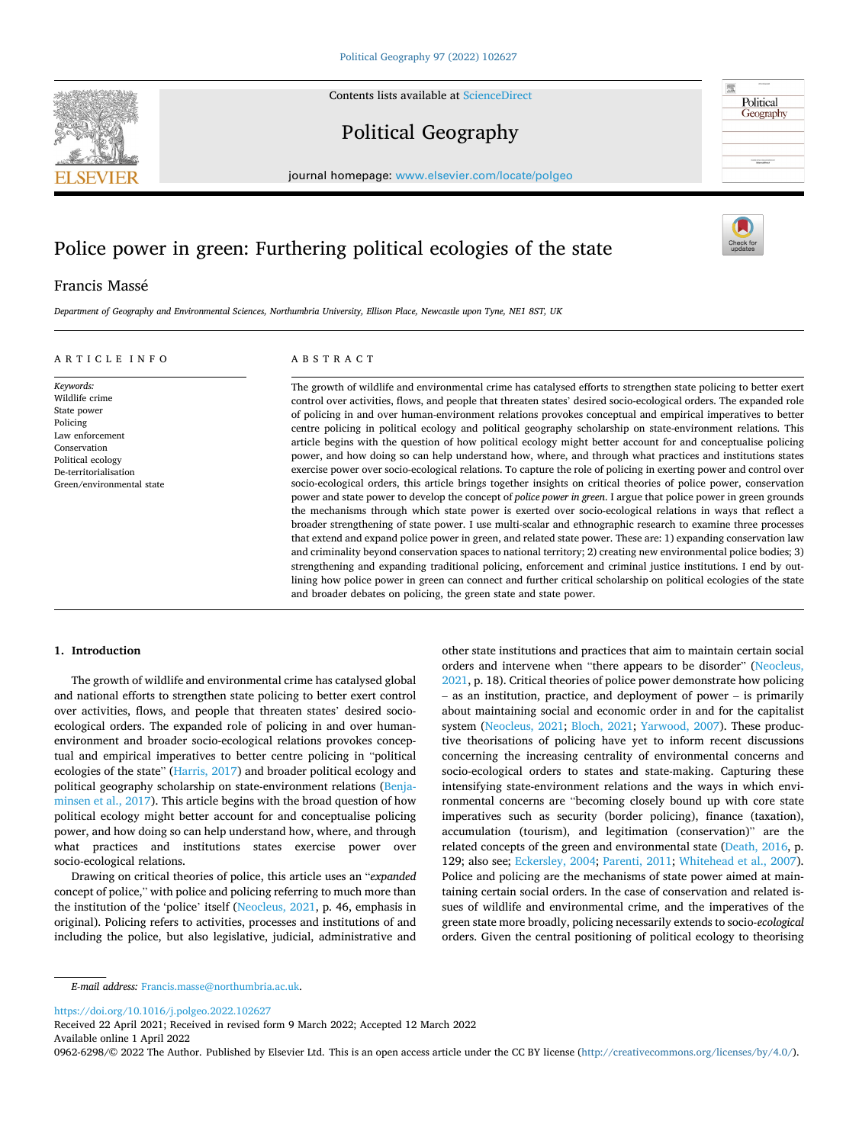Contents lists available at [ScienceDirect](www.sciencedirect.com/science/journal/09626298)

Political Geography

journal homepage: [www.elsevier.com/locate/polgeo](https://www.elsevier.com/locate/polgeo)

# Police power in green: Furthering political ecologies of the state

# Francis Massé

*Department of Geography and Environmental Sciences, Northumbria University, Ellison Place, Newcastle upon Tyne, NE1 8ST, UK* 

# ARTICLE INFO

*Keywords:*  Wildlife crime State power Policing Law enforcement Conservation Political ecology De-territorialisation Green/environmental state

# ABSTRACT

The growth of wildlife and environmental crime has catalysed efforts to strengthen state policing to better exert control over activities, flows, and people that threaten states' desired socio-ecological orders. The expanded role of policing in and over human-environment relations provokes conceptual and empirical imperatives to better centre policing in political ecology and political geography scholarship on state-environment relations. This article begins with the question of how political ecology might better account for and conceptualise policing power, and how doing so can help understand how, where, and through what practices and institutions states exercise power over socio-ecological relations. To capture the role of policing in exerting power and control over socio-ecological orders, this article brings together insights on critical theories of police power, conservation power and state power to develop the concept of *police power in green*. I argue that police power in green grounds the mechanisms through which state power is exerted over socio-ecological relations in ways that reflect a broader strengthening of state power. I use multi-scalar and ethnographic research to examine three processes that extend and expand police power in green, and related state power. These are: 1) expanding conservation law and criminality beyond conservation spaces to national territory; 2) creating new environmental police bodies; 3) strengthening and expanding traditional policing, enforcement and criminal justice institutions. I end by outlining how police power in green can connect and further critical scholarship on political ecologies of the state and broader debates on policing, the green state and state power.

# **1. Introduction**

The growth of wildlife and environmental crime has catalysed global and national efforts to strengthen state policing to better exert control over activities, flows, and people that threaten states' desired socioecological orders. The expanded role of policing in and over humanenvironment and broader socio-ecological relations provokes conceptual and empirical imperatives to better centre policing in "political ecologies of the state" [\(Harris, 2017\)](#page-8-0) and broader political ecology and political geography scholarship on state-environment relations ([Benja](#page-8-0)[minsen et al., 2017\)](#page-8-0). This article begins with the broad question of how political ecology might better account for and conceptualise policing power, and how doing so can help understand how, where, and through what practices and institutions states exercise power over socio-ecological relations.

Drawing on critical theories of police, this article uses an "*expanded*  concept of police," with police and policing referring to much more than the institution of the 'police' itself ([Neocleus, 2021,](#page-9-0) p. 46, emphasis in original). Policing refers to activities, processes and institutions of and including the police, but also legislative, judicial, administrative and other state institutions and practices that aim to maintain certain social orders and intervene when "there appears to be disorder" ([Neocleus,](#page-9-0)  [2021,](#page-9-0) p. 18). Critical theories of police power demonstrate how policing – as an institution, practice, and deployment of power – is primarily about maintaining social and economic order in and for the capitalist system [\(Neocleus, 2021](#page-9-0); [Bloch, 2021](#page-8-0); [Yarwood, 2007](#page-9-0)). These productive theorisations of policing have yet to inform recent discussions concerning the increasing centrality of environmental concerns and socio-ecological orders to states and state-making. Capturing these intensifying state-environment relations and the ways in which environmental concerns are "becoming closely bound up with core state imperatives such as security (border policing), finance (taxation), accumulation (tourism), and legitimation (conservation)" are the related concepts of the green and environmental state ([Death, 2016](#page-8-0), p. 129; also see; [Eckersley, 2004](#page-8-0); [Parenti, 2011](#page-9-0); [Whitehead et al., 2007](#page-9-0)). Police and policing are the mechanisms of state power aimed at maintaining certain social orders. In the case of conservation and related issues of wildlife and environmental crime, and the imperatives of the green state more broadly, policing necessarily extends to socio-*ecological*  orders. Given the central positioning of political ecology to theorising

<https://doi.org/10.1016/j.polgeo.2022.102627>

Available online 1 April 2022 Received 22 April 2021; Received in revised form 9 March 2022; Accepted 12 March 2022

0962-6298/© 2022 The Author. Published by Elsevier Ltd. This is an open access article under the CC BY license [\(http://creativecommons.org/licenses/by/4.0/\)](http://creativecommons.org/licenses/by/4.0/).







*E-mail address:* [Francis.masse@northumbria.ac.uk.](mailto:Francis.masse@northumbria.ac.uk)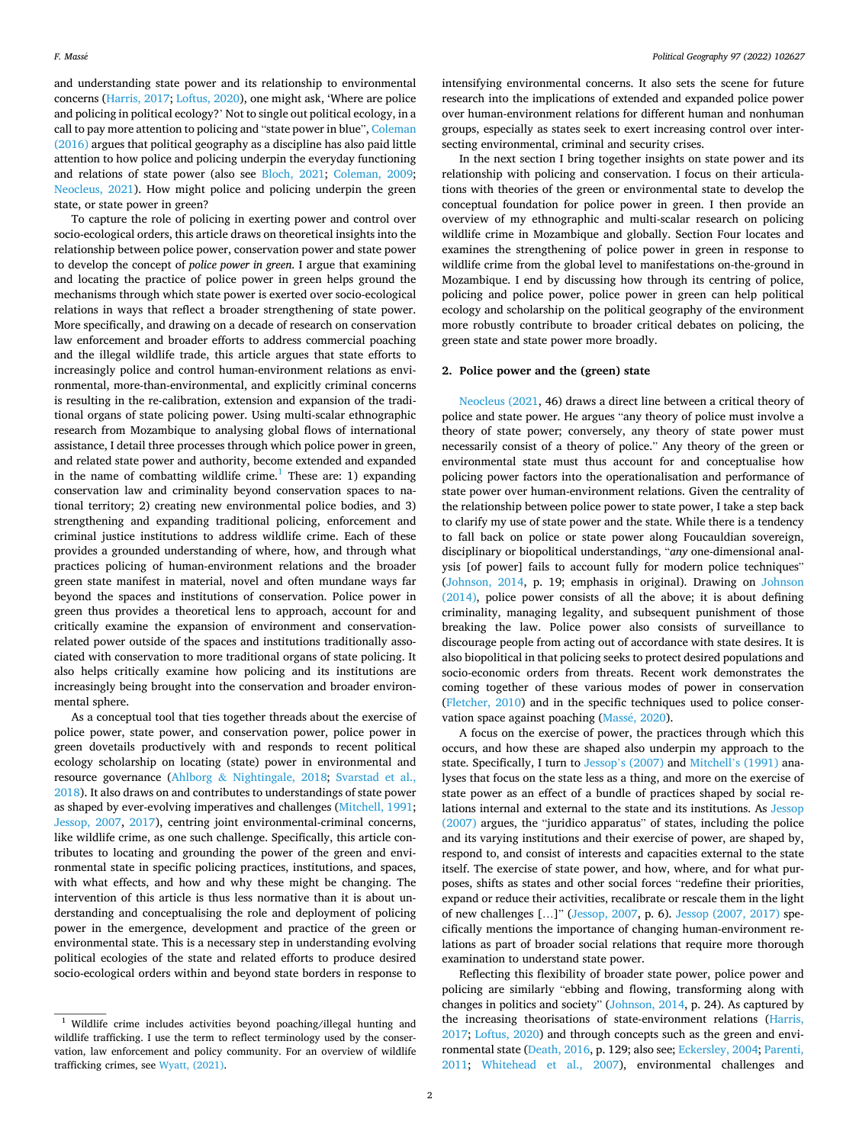and understanding state power and its relationship to environmental concerns ([Harris, 2017; Loftus, 2020](#page-8-0)), one might ask, 'Where are police and policing in political ecology?' Not to single out political ecology, in a call to pay more attention to policing and "state power in blue", [Coleman](#page-8-0)  [\(2016\)](#page-8-0) argues that political geography as a discipline has also paid little attention to how police and policing underpin the everyday functioning and relations of state power (also see [Bloch, 2021](#page-8-0); [Coleman, 2009](#page-8-0); [Neocleus, 2021\)](#page-9-0). How might police and policing underpin the green state, or state power in green?

To capture the role of policing in exerting power and control over socio-ecological orders, this article draws on theoretical insights into the relationship between police power, conservation power and state power to develop the concept of *police power in green*. I argue that examining and locating the practice of police power in green helps ground the mechanisms through which state power is exerted over socio-ecological relations in ways that reflect a broader strengthening of state power. More specifically, and drawing on a decade of research on conservation law enforcement and broader efforts to address commercial poaching and the illegal wildlife trade, this article argues that state efforts to increasingly police and control human-environment relations as environmental, more-than-environmental, and explicitly criminal concerns is resulting in the re-calibration, extension and expansion of the traditional organs of state policing power. Using multi-scalar ethnographic research from Mozambique to analysing global flows of international assistance, I detail three processes through which police power in green, and related state power and authority, become extended and expanded in the name of combatting wildlife crime.<sup>1</sup> These are: 1) expanding conservation law and criminality beyond conservation spaces to national territory; 2) creating new environmental police bodies, and 3) strengthening and expanding traditional policing, enforcement and criminal justice institutions to address wildlife crime. Each of these provides a grounded understanding of where, how, and through what practices policing of human-environment relations and the broader green state manifest in material, novel and often mundane ways far beyond the spaces and institutions of conservation. Police power in green thus provides a theoretical lens to approach, account for and critically examine the expansion of environment and conservationrelated power outside of the spaces and institutions traditionally associated with conservation to more traditional organs of state policing. It also helps critically examine how policing and its institutions are increasingly being brought into the conservation and broader environmental sphere.

As a conceptual tool that ties together threads about the exercise of police power, state power, and conservation power, police power in green dovetails productively with and responds to recent political ecology scholarship on locating (state) power in environmental and resource governance (Ahlborg & [Nightingale, 2018;](#page-8-0) [Svarstad et al.,](#page-9-0)  [2018\)](#page-9-0). It also draws on and contributes to understandings of state power as shaped by ever-evolving imperatives and challenges [\(Mitchell, 1991](#page-9-0); [Jessop, 2007](#page-8-0), [2017\)](#page-8-0), centring joint environmental-criminal concerns, like wildlife crime, as one such challenge. Specifically, this article contributes to locating and grounding the power of the green and environmental state in specific policing practices, institutions, and spaces, with what effects, and how and why these might be changing. The intervention of this article is thus less normative than it is about understanding and conceptualising the role and deployment of policing power in the emergence, development and practice of the green or environmental state. This is a necessary step in understanding evolving political ecologies of the state and related efforts to produce desired socio-ecological orders within and beyond state borders in response to

intensifying environmental concerns. It also sets the scene for future research into the implications of extended and expanded police power over human-environment relations for different human and nonhuman groups, especially as states seek to exert increasing control over intersecting environmental, criminal and security crises.

In the next section I bring together insights on state power and its relationship with policing and conservation. I focus on their articulations with theories of the green or environmental state to develop the conceptual foundation for police power in green. I then provide an overview of my ethnographic and multi-scalar research on policing wildlife crime in Mozambique and globally. Section Four locates and examines the strengthening of police power in green in response to wildlife crime from the global level to manifestations on-the-ground in Mozambique. I end by discussing how through its centring of police, policing and police power, police power in green can help political ecology and scholarship on the political geography of the environment more robustly contribute to broader critical debates on policing, the green state and state power more broadly.

# **2. Police power and the (green) state**

[Neocleus \(2021](#page-9-0), 46) draws a direct line between a critical theory of police and state power. He argues "any theory of police must involve a theory of state power; conversely, any theory of state power must necessarily consist of a theory of police." Any theory of the green or environmental state must thus account for and conceptualise how policing power factors into the operationalisation and performance of state power over human-environment relations. Given the centrality of the relationship between police power to state power, I take a step back to clarify my use of state power and the state. While there is a tendency to fall back on police or state power along Foucauldian sovereign, disciplinary or biopolitical understandings, "*any* one-dimensional analysis [of power] fails to account fully for modern police techniques" ([Johnson, 2014](#page-8-0), p. 19; emphasis in original). Drawing on [Johnson](#page-8-0)  [\(2014\),](#page-8-0) police power consists of all the above; it is about defining criminality, managing legality, and subsequent punishment of those breaking the law. Police power also consists of surveillance to discourage people from acting out of accordance with state desires. It is also biopolitical in that policing seeks to protect desired populations and socio-economic orders from threats. Recent work demonstrates the coming together of these various modes of power in conservation ([Fletcher, 2010\)](#page-8-0) and in the specific techniques used to police conservation space against poaching (Massé, 2020).

A focus on the exercise of power, the practices through which this occurs, and how these are shaped also underpin my approach to the state. Specifically, I turn to Jessop'[s \(2007\)](#page-8-0) and Mitchell'[s \(1991\)](#page-9-0) analyses that focus on the state less as a thing, and more on the exercise of state power as an effect of a bundle of practices shaped by social relations internal and external to the state and its institutions. As [Jessop](#page-8-0)  [\(2007\)](#page-8-0) argues, the "juridico apparatus" of states, including the police and its varying institutions and their exercise of power, are shaped by, respond to, and consist of interests and capacities external to the state itself. The exercise of state power, and how, where, and for what purposes, shifts as states and other social forces "redefine their priorities, expand or reduce their activities, recalibrate or rescale them in the light of new challenges […]" ([Jessop, 2007](#page-8-0), p. 6). [Jessop \(2007, 2017\)](#page-8-0) specifically mentions the importance of changing human-environment relations as part of broader social relations that require more thorough examination to understand state power.

Reflecting this flexibility of broader state power, police power and policing are similarly "ebbing and flowing, transforming along with changes in politics and society" ([Johnson, 2014,](#page-8-0) p. 24). As captured by the increasing theorisations of state-environment relations ([Harris,](#page-8-0)  [2017; Loftus, 2020\)](#page-8-0) and through concepts such as the green and environmental state [\(Death, 2016](#page-8-0), p. 129; also see; [Eckersley, 2004;](#page-8-0) [Parenti,](#page-9-0)  [2011;](#page-9-0) [Whitehead et al., 2007](#page-9-0)), environmental challenges and

<sup>&</sup>lt;sup>1</sup> Wildlife crime includes activities beyond poaching/illegal hunting and wildlife trafficking. I use the term to reflect terminology used by the conservation, law enforcement and policy community. For an overview of wildlife trafficking crimes, see [Wyatt, \(2021\)](#page-9-0).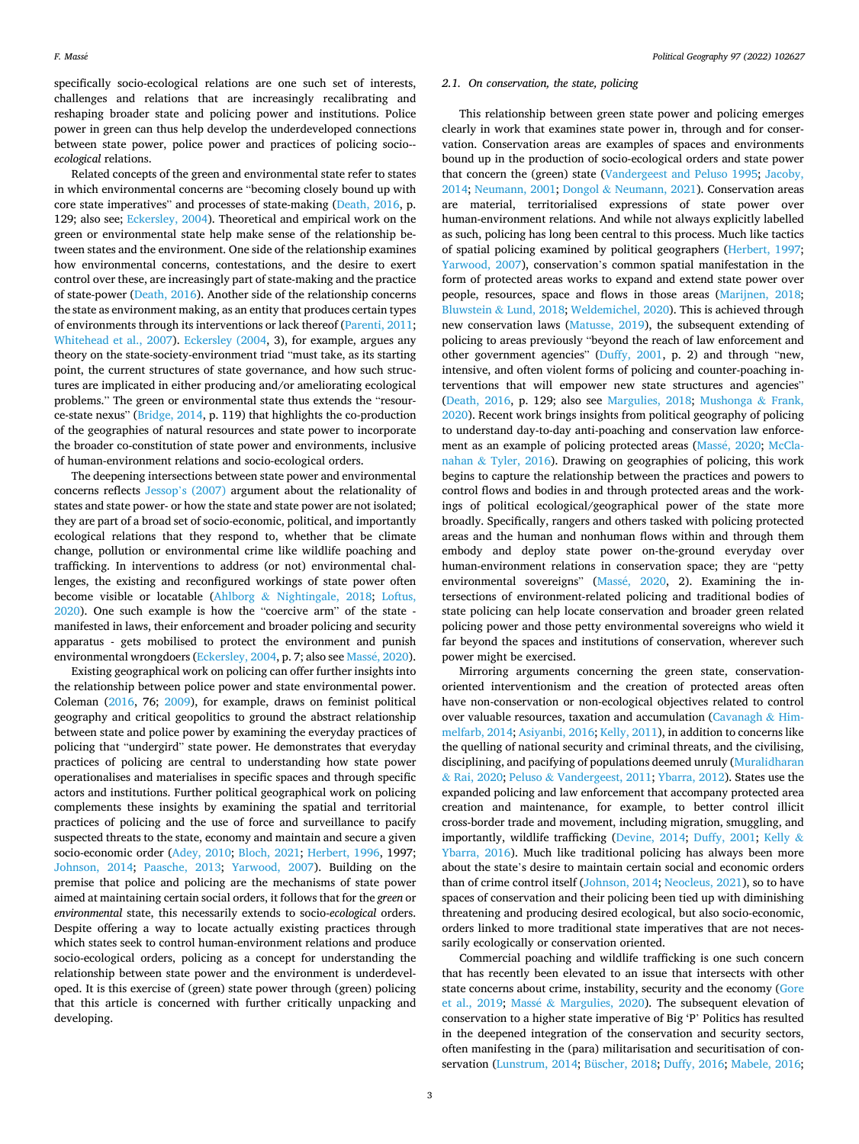specifically socio-ecological relations are one such set of interests, challenges and relations that are increasingly recalibrating and reshaping broader state and policing power and institutions. Police power in green can thus help develop the underdeveloped connections between state power, police power and practices of policing socio-*ecological* relations.

Related concepts of the green and environmental state refer to states in which environmental concerns are "becoming closely bound up with core state imperatives" and processes of state-making ([Death, 2016](#page-8-0), p. 129; also see; [Eckersley, 2004](#page-8-0)). Theoretical and empirical work on the green or environmental state help make sense of the relationship between states and the environment. One side of the relationship examines how environmental concerns, contestations, and the desire to exert control over these, are increasingly part of state-making and the practice of state-power [\(Death, 2016](#page-8-0)). Another side of the relationship concerns the state as environment making, as an entity that produces certain types of environments through its interventions or lack thereof [\(Parenti, 2011](#page-9-0); [Whitehead et al., 2007\)](#page-9-0). [Eckersley \(2004,](#page-8-0) 3), for example, argues any theory on the state-society-environment triad "must take, as its starting point, the current structures of state governance, and how such structures are implicated in either producing and/or ameliorating ecological problems." The green or environmental state thus extends the "resource-state nexus" [\(Bridge, 2014,](#page-8-0) p. 119) that highlights the co-production of the geographies of natural resources and state power to incorporate the broader co-constitution of state power and environments, inclusive of human-environment relations and socio-ecological orders.

The deepening intersections between state power and environmental concerns reflects Jessop'[s \(2007\)](#page-8-0) argument about the relationality of states and state power- or how the state and state power are not isolated; they are part of a broad set of socio-economic, political, and importantly ecological relations that they respond to, whether that be climate change, pollution or environmental crime like wildlife poaching and trafficking. In interventions to address (or not) environmental challenges, the existing and reconfigured workings of state power often become visible or locatable (Ahlborg & [Nightingale, 2018](#page-8-0); [Loftus,](#page-8-0)  [2020\)](#page-8-0). One such example is how the "coercive arm" of the state manifested in laws, their enforcement and broader policing and security apparatus - gets mobilised to protect the environment and punish environmental wrongdoers ([Eckersley, 2004,](#page-8-0) p. 7; also see Massé, 2020).

Existing geographical work on policing can offer further insights into the relationship between police power and state environmental power. Coleman [\(2016](#page-8-0), 76; [2009](#page-8-0)), for example, draws on feminist political geography and critical geopolitics to ground the abstract relationship between state and police power by examining the everyday practices of policing that "undergird" state power. He demonstrates that everyday practices of policing are central to understanding how state power operationalises and materialises in specific spaces and through specific actors and institutions. Further political geographical work on policing complements these insights by examining the spatial and territorial practices of policing and the use of force and surveillance to pacify suspected threats to the state, economy and maintain and secure a given socio-economic order [\(Adey, 2010](#page-8-0); [Bloch, 2021](#page-8-0); [Herbert, 1996](#page-8-0), 1997; [Johnson, 2014](#page-8-0); [Paasche, 2013](#page-9-0); [Yarwood, 2007\)](#page-9-0). Building on the premise that police and policing are the mechanisms of state power aimed at maintaining certain social orders, it follows that for the *green* or *environmental* state, this necessarily extends to socio-*ecological* orders. Despite offering a way to locate actually existing practices through which states seek to control human-environment relations and produce socio-ecological orders, policing as a concept for understanding the relationship between state power and the environment is underdeveloped. It is this exercise of (green) state power through (green) policing that this article is concerned with further critically unpacking and developing.

## *2.1. On conservation, the state, policing*

This relationship between green state power and policing emerges clearly in work that examines state power in, through and for conservation. Conservation areas are examples of spaces and environments bound up in the production of socio-ecological orders and state power that concern the (green) state ([Vandergeest and Peluso 1995;](#page-9-0) [Jacoby,](#page-8-0)  [2014;](#page-8-0) [Neumann, 2001;](#page-9-0) Dongol & [Neumann, 2021](#page-8-0)). Conservation areas are material, territorialised expressions of state power over human-environment relations. And while not always explicitly labelled as such, policing has long been central to this process. Much like tactics of spatial policing examined by political geographers ([Herbert, 1997](#page-8-0); [Yarwood, 2007\)](#page-9-0), conservation's common spatial manifestation in the form of protected areas works to expand and extend state power over people, resources, space and flows in those areas [\(Marijnen, 2018](#page-8-0); Bluwstein & [Lund, 2018;](#page-8-0) [Weldemichel, 2020](#page-9-0)). This is achieved through new conservation laws [\(Matusse, 2019](#page-9-0)), the subsequent extending of policing to areas previously "beyond the reach of law enforcement and other government agencies" ([Duffy, 2001,](#page-8-0) p. 2) and through "new, intensive, and often violent forms of policing and counter-poaching interventions that will empower new state structures and agencies" ([Death, 2016](#page-8-0), p. 129; also see [Margulies, 2018;](#page-8-0) [Mushonga](#page-9-0) & Frank, [2020\)](#page-9-0). Recent work brings insights from political geography of policing to understand day-to-day anti-poaching and conservation law enforce-ment as an example of policing protected areas (Massé, 2020; [McCla](#page-9-0)nahan & [Tyler, 2016](#page-9-0)). Drawing on geographies of policing, this work begins to capture the relationship between the practices and powers to control flows and bodies in and through protected areas and the workings of political ecological/geographical power of the state more broadly. Specifically, rangers and others tasked with policing protected areas and the human and nonhuman flows within and through them embody and deploy state power on-the-ground everyday over human-environment relations in conservation space; they are "petty environmental sovereigns" (Massé, 2020, 2). Examining the intersections of environment-related policing and traditional bodies of state policing can help locate conservation and broader green related policing power and those petty environmental sovereigns who wield it far beyond the spaces and institutions of conservation, wherever such power might be exercised.

Mirroring arguments concerning the green state, conservationoriented interventionism and the creation of protected areas often have non-conservation or non-ecological objectives related to control over valuable resources, taxation and accumulation [\(Cavanagh](#page-8-0)  $&$  Him[melfarb, 2014; Asiyanbi, 2016](#page-8-0); [Kelly, 2011](#page-8-0)), in addition to concerns like the quelling of national security and criminal threats, and the civilising, disciplining, and pacifying of populations deemed unruly [\(Muralidharan](#page-9-0)  & [Rai, 2020;](#page-9-0) Peluso & [Vandergeest, 2011](#page-9-0); [Ybarra, 2012\)](#page-9-0). States use the expanded policing and law enforcement that accompany protected area creation and maintenance, for example, to better control illicit cross-border trade and movement, including migration, smuggling, and importantly, wildlife trafficking [\(Devine, 2014](#page-8-0); [Duffy, 2001](#page-8-0); [Kelly](#page-8-0) & [Ybarra, 2016](#page-8-0)). Much like traditional policing has always been more about the state's desire to maintain certain social and economic orders than of crime control itself [\(Johnson, 2014;](#page-8-0) [Neocleus, 2021\)](#page-9-0), so to have spaces of conservation and their policing been tied up with diminishing threatening and producing desired ecological, but also socio-economic, orders linked to more traditional state imperatives that are not necessarily ecologically or conservation oriented.

Commercial poaching and wildlife trafficking is one such concern that has recently been elevated to an issue that intersects with other state concerns about crime, instability, security and the economy ([Gore](#page-8-0)  [et al., 2019;](#page-8-0) Massé & [Margulies, 2020\)](#page-8-0). The subsequent elevation of conservation to a higher state imperative of Big 'P' Politics has resulted in the deepened integration of the conservation and security sectors, often manifesting in the (para) militarisation and securitisation of conservation [\(Lunstrum, 2014; Büscher, 2018; Duffy, 2016; Mabele, 2016](#page-8-0);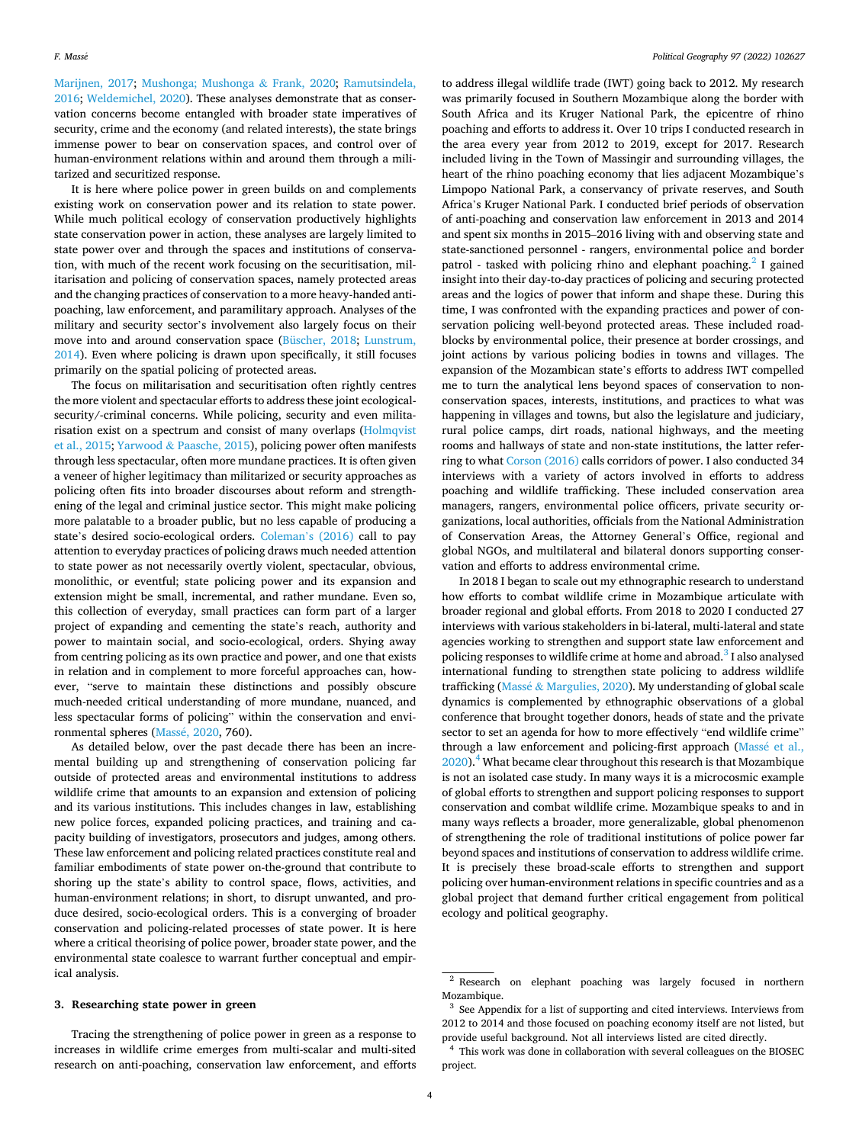[Marijnen, 2017;](#page-8-0) [Mushonga; Mushonga](#page-9-0) & Frank, 2020; [Ramutsindela,](#page-9-0)  [2016; Weldemichel, 2020\)](#page-9-0). These analyses demonstrate that as conservation concerns become entangled with broader state imperatives of security, crime and the economy (and related interests), the state brings immense power to bear on conservation spaces, and control over of human-environment relations within and around them through a militarized and securitized response.

It is here where police power in green builds on and complements existing work on conservation power and its relation to state power. While much political ecology of conservation productively highlights state conservation power in action, these analyses are largely limited to state power over and through the spaces and institutions of conservation, with much of the recent work focusing on the securitisation, militarisation and policing of conservation spaces, namely protected areas and the changing practices of conservation to a more heavy-handed antipoaching, law enforcement, and paramilitary approach. Analyses of the military and security sector's involvement also largely focus on their move into and around conservation space [\(Büscher, 2018](#page-8-0); [Lunstrum,](#page-8-0)  [2014\)](#page-8-0). Even where policing is drawn upon specifically, it still focuses primarily on the spatial policing of protected areas.

The focus on militarisation and securitisation often rightly centres the more violent and spectacular efforts to address these joint ecologicalsecurity/-criminal concerns. While policing, security and even militarisation exist on a spectrum and consist of many overlaps [\(Holmqvist](#page-8-0)  [et al., 2015](#page-8-0); Yarwood & [Paasche, 2015](#page-9-0)), policing power often manifests through less spectacular, often more mundane practices. It is often given a veneer of higher legitimacy than militarized or security approaches as policing often fits into broader discourses about reform and strengthening of the legal and criminal justice sector. This might make policing more palatable to a broader public, but no less capable of producing a state's desired socio-ecological orders. [Coleman](#page-8-0)'s (2016) call to pay attention to everyday practices of policing draws much needed attention to state power as not necessarily overtly violent, spectacular, obvious, monolithic, or eventful; state policing power and its expansion and extension might be small, incremental, and rather mundane. Even so, this collection of everyday, small practices can form part of a larger project of expanding and cementing the state's reach, authority and power to maintain social, and socio-ecological, orders. Shying away from centring policing as its own practice and power, and one that exists in relation and in complement to more forceful approaches can, however, "serve to maintain these distinctions and possibly obscure much-needed critical understanding of more mundane, nuanced, and less spectacular forms of policing" within the conservation and environmental spheres (Massé, 2020, 760).

As detailed below, over the past decade there has been an incremental building up and strengthening of conservation policing far outside of protected areas and environmental institutions to address wildlife crime that amounts to an expansion and extension of policing and its various institutions. This includes changes in law, establishing new police forces, expanded policing practices, and training and capacity building of investigators, prosecutors and judges, among others. These law enforcement and policing related practices constitute real and familiar embodiments of state power on-the-ground that contribute to shoring up the state's ability to control space, flows, activities, and human-environment relations; in short, to disrupt unwanted, and produce desired, socio-ecological orders. This is a converging of broader conservation and policing-related processes of state power. It is here where a critical theorising of police power, broader state power, and the environmental state coalesce to warrant further conceptual and empirical analysis.

# **3. Researching state power in green**

Tracing the strengthening of police power in green as a response to increases in wildlife crime emerges from multi-scalar and multi-sited research on anti-poaching, conservation law enforcement, and efforts

to address illegal wildlife trade (IWT) going back to 2012. My research was primarily focused in Southern Mozambique along the border with South Africa and its Kruger National Park, the epicentre of rhino poaching and efforts to address it. Over 10 trips I conducted research in the area every year from 2012 to 2019, except for 2017. Research included living in the Town of Massingir and surrounding villages, the heart of the rhino poaching economy that lies adjacent Mozambique's Limpopo National Park, a conservancy of private reserves, and South Africa's Kruger National Park. I conducted brief periods of observation of anti-poaching and conservation law enforcement in 2013 and 2014 and spent six months in 2015–2016 living with and observing state and state-sanctioned personnel - rangers, environmental police and border patrol - tasked with policing rhino and elephant poaching.<sup>2</sup> I gained insight into their day-to-day practices of policing and securing protected areas and the logics of power that inform and shape these. During this time, I was confronted with the expanding practices and power of conservation policing well-beyond protected areas. These included roadblocks by environmental police, their presence at border crossings, and joint actions by various policing bodies in towns and villages. The expansion of the Mozambican state's efforts to address IWT compelled me to turn the analytical lens beyond spaces of conservation to nonconservation spaces, interests, institutions, and practices to what was happening in villages and towns, but also the legislature and judiciary, rural police camps, dirt roads, national highways, and the meeting rooms and hallways of state and non-state institutions, the latter referring to what [Corson \(2016\)](#page-8-0) calls corridors of power. I also conducted 34 interviews with a variety of actors involved in efforts to address poaching and wildlife trafficking. These included conservation area managers, rangers, environmental police officers, private security organizations, local authorities, officials from the National Administration of Conservation Areas, the Attorney General's Office, regional and global NGOs, and multilateral and bilateral donors supporting conservation and efforts to address environmental crime.

In 2018 I began to scale out my ethnographic research to understand how efforts to combat wildlife crime in Mozambique articulate with broader regional and global efforts. From 2018 to 2020 I conducted 27 interviews with various stakeholders in bi-lateral, multi-lateral and state agencies working to strengthen and support state law enforcement and policing responses to wildlife crime at home and abroad.<sup>3</sup> I also analysed international funding to strengthen state policing to address wildlife trafficking (Massé & [Margulies, 2020\)](#page-8-0). My understanding of global scale dynamics is complemented by ethnographic observations of a global conference that brought together donors, heads of state and the private sector to set an agenda for how to more effectively "end wildlife crime" through a law enforcement and policing-first approach (Massé et al.,  $2020$ .<sup>4</sup> What became clear throughout this research is that Mozambique is not an isolated case study. In many ways it is a microcosmic example of global efforts to strengthen and support policing responses to support conservation and combat wildlife crime. Mozambique speaks to and in many ways reflects a broader, more generalizable, global phenomenon of strengthening the role of traditional institutions of police power far beyond spaces and institutions of conservation to address wildlife crime. It is precisely these broad-scale efforts to strengthen and support policing over human-environment relations in specific countries and as a global project that demand further critical engagement from political ecology and political geography.

<sup>2</sup> Research on elephant poaching was largely focused in northern Mozambique.

<sup>&</sup>lt;sup>3</sup> See Appendix for a list of supporting and cited interviews. Interviews from 2012 to 2014 and those focused on poaching economy itself are not listed, but provide useful background. Not all interviews listed are cited directly. 4 This work was done in collaboration with several colleagues on the BIOSEC

project.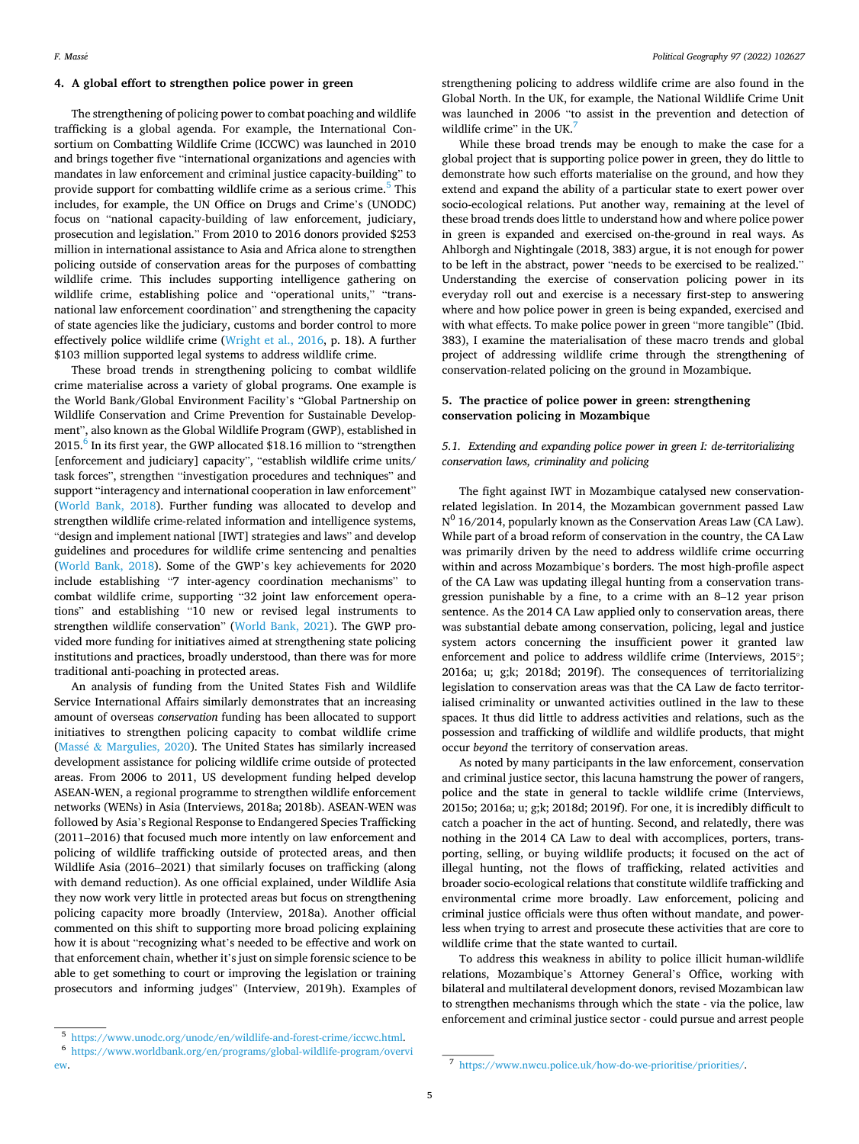# **4. A global effort to strengthen police power in green**

The strengthening of policing power to combat poaching and wildlife trafficking is a global agenda. For example, the International Consortium on Combatting Wildlife Crime (ICCWC) was launched in 2010 and brings together five "international organizations and agencies with mandates in law enforcement and criminal justice capacity-building" to provide support for combatting wildlife crime as a serious crime.<sup>5</sup> This includes, for example, the UN Office on Drugs and Crime's (UNODC) focus on "national capacity-building of law enforcement, judiciary, prosecution and legislation." From 2010 to 2016 donors provided \$253 million in international assistance to Asia and Africa alone to strengthen policing outside of conservation areas for the purposes of combatting wildlife crime. This includes supporting intelligence gathering on wildlife crime, establishing police and "operational units," "transnational law enforcement coordination" and strengthening the capacity of state agencies like the judiciary, customs and border control to more effectively police wildlife crime [\(Wright et al., 2016,](#page-9-0) p. 18). A further \$103 million supported legal systems to address wildlife crime.

These broad trends in strengthening policing to combat wildlife crime materialise across a variety of global programs. One example is the World Bank/Global Environment Facility's "Global Partnership on Wildlife Conservation and Crime Prevention for Sustainable Development", also known as the Global Wildlife Program (GWP), established in  $2015.<sup>6</sup>$  In its first year, the GWP allocated \$18.16 million to "strengthen [enforcement and judiciary] capacity", "establish wildlife crime units/ task forces", strengthen "investigation procedures and techniques" and support "interagency and international cooperation in law enforcement" ([World Bank, 2018](#page-9-0)). Further funding was allocated to develop and strengthen wildlife crime-related information and intelligence systems, "design and implement national [IWT] strategies and laws" and develop guidelines and procedures for wildlife crime sentencing and penalties ([World Bank, 2018](#page-9-0)). Some of the GWP's key achievements for 2020 include establishing "7 inter-agency coordination mechanisms" to combat wildlife crime, supporting "32 joint law enforcement operations" and establishing "10 new or revised legal instruments to strengthen wildlife conservation" ([World Bank, 2021\)](#page-9-0). The GWP provided more funding for initiatives aimed at strengthening state policing institutions and practices, broadly understood, than there was for more traditional anti-poaching in protected areas.

An analysis of funding from the United States Fish and Wildlife Service International Affairs similarly demonstrates that an increasing amount of overseas *conservation* funding has been allocated to support initiatives to strengthen policing capacity to combat wildlife crime (Massé & [Margulies, 2020\)](#page-8-0). The United States has similarly increased development assistance for policing wildlife crime outside of protected areas. From 2006 to 2011, US development funding helped develop ASEAN-WEN, a regional programme to strengthen wildlife enforcement networks (WENs) in Asia (Interviews, 2018a; 2018b). ASEAN-WEN was followed by Asia's Regional Response to Endangered Species Trafficking (2011–2016) that focused much more intently on law enforcement and policing of wildlife trafficking outside of protected areas, and then Wildlife Asia (2016–2021) that similarly focuses on trafficking (along with demand reduction). As one official explained, under Wildlife Asia they now work very little in protected areas but focus on strengthening policing capacity more broadly (Interview, 2018a). Another official commented on this shift to supporting more broad policing explaining how it is about "recognizing what's needed to be effective and work on that enforcement chain, whether it's just on simple forensic science to be able to get something to court or improving the legislation or training prosecutors and informing judges" (Interview, 2019h). Examples of strengthening policing to address wildlife crime are also found in the Global North. In the UK, for example, the National Wildlife Crime Unit was launched in 2006 "to assist in the prevention and detection of wildlife crime" in the UK.<sup>7</sup>

While these broad trends may be enough to make the case for a global project that is supporting police power in green, they do little to demonstrate how such efforts materialise on the ground, and how they extend and expand the ability of a particular state to exert power over socio-ecological relations. Put another way, remaining at the level of these broad trends does little to understand how and where police power in green is expanded and exercised on-the-ground in real ways. As Ahlborgh and Nightingale (2018, 383) argue, it is not enough for power to be left in the abstract, power "needs to be exercised to be realized." Understanding the exercise of conservation policing power in its everyday roll out and exercise is a necessary first-step to answering where and how police power in green is being expanded, exercised and with what effects. To make police power in green "more tangible" (Ibid. 383), I examine the materialisation of these macro trends and global project of addressing wildlife crime through the strengthening of conservation-related policing on the ground in Mozambique.

# **5. The practice of police power in green: strengthening conservation policing in Mozambique**

# *5.1. Extending and expanding police power in green I: de-territorializing conservation laws, criminality and policing*

The fight against IWT in Mozambique catalysed new conservationrelated legislation. In 2014, the Mozambican government passed Law  $N^0$  16/2014, popularly known as the Conservation Areas Law (CA Law). While part of a broad reform of conservation in the country, the CA Law was primarily driven by the need to address wildlife crime occurring within and across Mozambique's borders. The most high-profile aspect of the CA Law was updating illegal hunting from a conservation transgression punishable by a fine, to a crime with an 8–12 year prison sentence. As the 2014 CA Law applied only to conservation areas, there was substantial debate among conservation, policing, legal and justice system actors concerning the insufficient power it granted law enforcement and police to address wildlife crime (Interviews, 2015<sup>°</sup>; 2016a; u; g;k; 2018d; 2019f). The consequences of territorializing legislation to conservation areas was that the CA Law de facto territorialised criminality or unwanted activities outlined in the law to these spaces. It thus did little to address activities and relations, such as the possession and trafficking of wildlife and wildlife products, that might occur *beyond* the territory of conservation areas.

As noted by many participants in the law enforcement, conservation and criminal justice sector, this lacuna hamstrung the power of rangers, police and the state in general to tackle wildlife crime (Interviews, 2015o; 2016a; u; g;k; 2018d; 2019f). For one, it is incredibly difficult to catch a poacher in the act of hunting. Second, and relatedly, there was nothing in the 2014 CA Law to deal with accomplices, porters, transporting, selling, or buying wildlife products; it focused on the act of illegal hunting, not the flows of trafficking, related activities and broader socio-ecological relations that constitute wildlife trafficking and environmental crime more broadly. Law enforcement, policing and criminal justice officials were thus often without mandate, and powerless when trying to arrest and prosecute these activities that are core to wildlife crime that the state wanted to curtail.

To address this weakness in ability to police illicit human-wildlife relations, Mozambique's Attorney General's Office, working with bilateral and multilateral development donors, revised Mozambican law to strengthen mechanisms through which the state - via the police, law enforcement and criminal justice sector - could pursue and arrest people

 $^{\text{5}}$ <https://www.unodc.org/unodc/en/wildlife-and-forest-crime/iccwc.html>.  $^{\text{6}}$ https://www.worldbank.org/en/programs/global-wildlife-program/overvi [ew.](https://www.worldbank.org/en/programs/global-wildlife-program/overview) 7 <https://www.nwcu.police.uk/how-do-we-prioritise/priorities/>.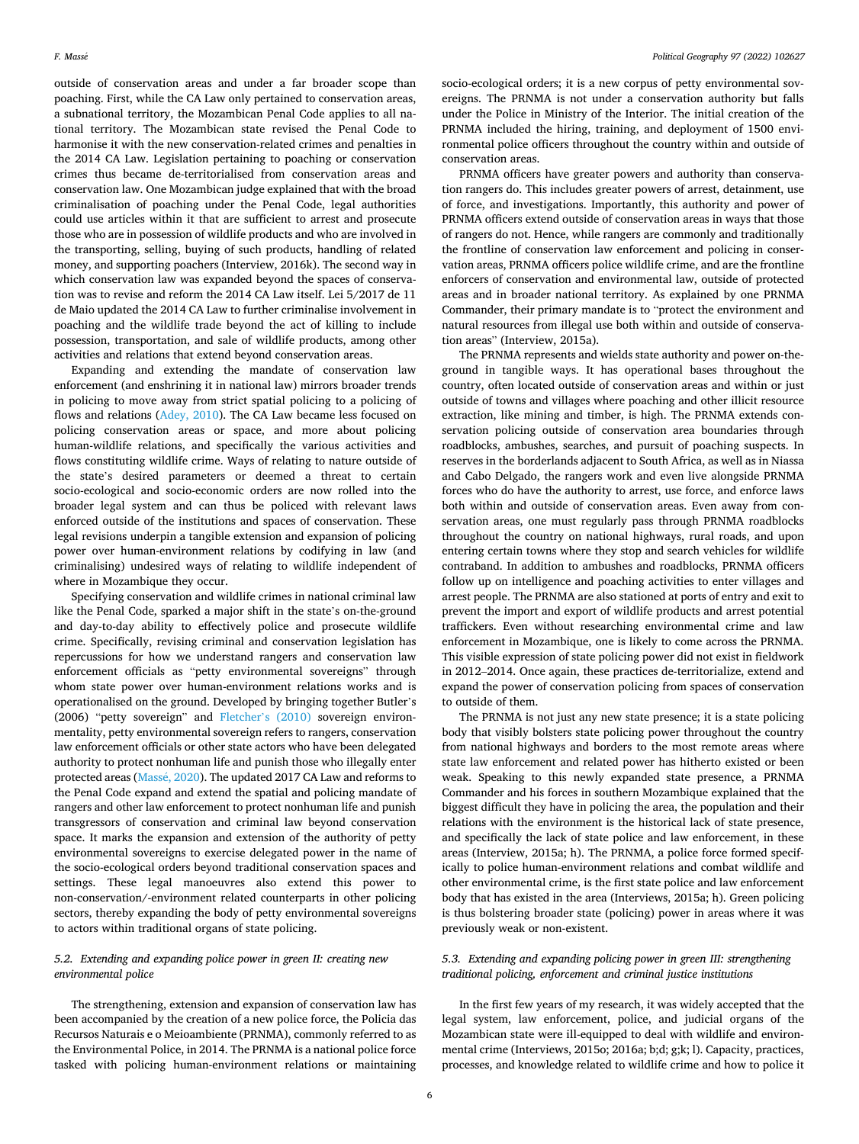outside of conservation areas and under a far broader scope than poaching. First, while the CA Law only pertained to conservation areas, a subnational territory, the Mozambican Penal Code applies to all national territory. The Mozambican state revised the Penal Code to harmonise it with the new conservation-related crimes and penalties in the 2014 CA Law. Legislation pertaining to poaching or conservation crimes thus became de-territorialised from conservation areas and conservation law. One Mozambican judge explained that with the broad criminalisation of poaching under the Penal Code, legal authorities could use articles within it that are sufficient to arrest and prosecute those who are in possession of wildlife products and who are involved in the transporting, selling, buying of such products, handling of related money, and supporting poachers (Interview, 2016k). The second way in which conservation law was expanded beyond the spaces of conservation was to revise and reform the 2014 CA Law itself. Lei 5/2017 de 11 de Maio updated the 2014 CA Law to further criminalise involvement in poaching and the wildlife trade beyond the act of killing to include possession, transportation, and sale of wildlife products, among other activities and relations that extend beyond conservation areas.

Expanding and extending the mandate of conservation law enforcement (and enshrining it in national law) mirrors broader trends in policing to move away from strict spatial policing to a policing of flows and relations ([Adey, 2010\)](#page-8-0). The CA Law became less focused on policing conservation areas or space, and more about policing human-wildlife relations, and specifically the various activities and flows constituting wildlife crime. Ways of relating to nature outside of the state's desired parameters or deemed a threat to certain socio-ecological and socio-economic orders are now rolled into the broader legal system and can thus be policed with relevant laws enforced outside of the institutions and spaces of conservation. These legal revisions underpin a tangible extension and expansion of policing power over human-environment relations by codifying in law (and criminalising) undesired ways of relating to wildlife independent of where in Mozambique they occur.

Specifying conservation and wildlife crimes in national criminal law like the Penal Code, sparked a major shift in the state's on-the-ground and day-to-day ability to effectively police and prosecute wildlife crime. Specifically, revising criminal and conservation legislation has repercussions for how we understand rangers and conservation law enforcement officials as "petty environmental sovereigns" through whom state power over human-environment relations works and is operationalised on the ground. Developed by bringing together Butler's (2006) "petty sovereign" and Fletcher'[s \(2010\)](#page-8-0) sovereign environmentality, petty environmental sovereign refers to rangers, conservation law enforcement officials or other state actors who have been delegated authority to protect nonhuman life and punish those who illegally enter protected areas (Massé, 2020). The updated 2017 CA Law and reforms to the Penal Code expand and extend the spatial and policing mandate of rangers and other law enforcement to protect nonhuman life and punish transgressors of conservation and criminal law beyond conservation space. It marks the expansion and extension of the authority of petty environmental sovereigns to exercise delegated power in the name of the socio-ecological orders beyond traditional conservation spaces and settings. These legal manoeuvres also extend this power to non-conservation/-environment related counterparts in other policing sectors, thereby expanding the body of petty environmental sovereigns to actors within traditional organs of state policing.

# *5.2. Extending and expanding police power in green II: creating new environmental police*

The strengthening, extension and expansion of conservation law has been accompanied by the creation of a new police force, the Policia das Recursos Naturais e o Meioambiente (PRNMA), commonly referred to as the Environmental Police, in 2014. The PRNMA is a national police force tasked with policing human-environment relations or maintaining socio-ecological orders; it is a new corpus of petty environmental sovereigns. The PRNMA is not under a conservation authority but falls under the Police in Ministry of the Interior. The initial creation of the PRNMA included the hiring, training, and deployment of 1500 environmental police officers throughout the country within and outside of conservation areas.

PRNMA officers have greater powers and authority than conservation rangers do. This includes greater powers of arrest, detainment, use of force, and investigations. Importantly, this authority and power of PRNMA officers extend outside of conservation areas in ways that those of rangers do not. Hence, while rangers are commonly and traditionally the frontline of conservation law enforcement and policing in conservation areas, PRNMA officers police wildlife crime, and are the frontline enforcers of conservation and environmental law, outside of protected areas and in broader national territory. As explained by one PRNMA Commander, their primary mandate is to "protect the environment and natural resources from illegal use both within and outside of conservation areas" (Interview, 2015a).

The PRNMA represents and wields state authority and power on-theground in tangible ways. It has operational bases throughout the country, often located outside of conservation areas and within or just outside of towns and villages where poaching and other illicit resource extraction, like mining and timber, is high. The PRNMA extends conservation policing outside of conservation area boundaries through roadblocks, ambushes, searches, and pursuit of poaching suspects. In reserves in the borderlands adjacent to South Africa, as well as in Niassa and Cabo Delgado, the rangers work and even live alongside PRNMA forces who do have the authority to arrest, use force, and enforce laws both within and outside of conservation areas. Even away from conservation areas, one must regularly pass through PRNMA roadblocks throughout the country on national highways, rural roads, and upon entering certain towns where they stop and search vehicles for wildlife contraband. In addition to ambushes and roadblocks, PRNMA officers follow up on intelligence and poaching activities to enter villages and arrest people. The PRNMA are also stationed at ports of entry and exit to prevent the import and export of wildlife products and arrest potential traffickers. Even without researching environmental crime and law enforcement in Mozambique, one is likely to come across the PRNMA. This visible expression of state policing power did not exist in fieldwork in 2012–2014. Once again, these practices de-territorialize, extend and expand the power of conservation policing from spaces of conservation to outside of them.

The PRNMA is not just any new state presence; it is a state policing body that visibly bolsters state policing power throughout the country from national highways and borders to the most remote areas where state law enforcement and related power has hitherto existed or been weak. Speaking to this newly expanded state presence, a PRNMA Commander and his forces in southern Mozambique explained that the biggest difficult they have in policing the area, the population and their relations with the environment is the historical lack of state presence, and specifically the lack of state police and law enforcement, in these areas (Interview, 2015a; h). The PRNMA, a police force formed specifically to police human-environment relations and combat wildlife and other environmental crime, is the first state police and law enforcement body that has existed in the area (Interviews, 2015a; h). Green policing is thus bolstering broader state (policing) power in areas where it was previously weak or non-existent.

# *5.3. Extending and expanding policing power in green III: strengthening traditional policing, enforcement and criminal justice institutions*

In the first few years of my research, it was widely accepted that the legal system, law enforcement, police, and judicial organs of the Mozambican state were ill-equipped to deal with wildlife and environmental crime (Interviews, 2015o; 2016a; b;d; g;k; l). Capacity, practices, processes, and knowledge related to wildlife crime and how to police it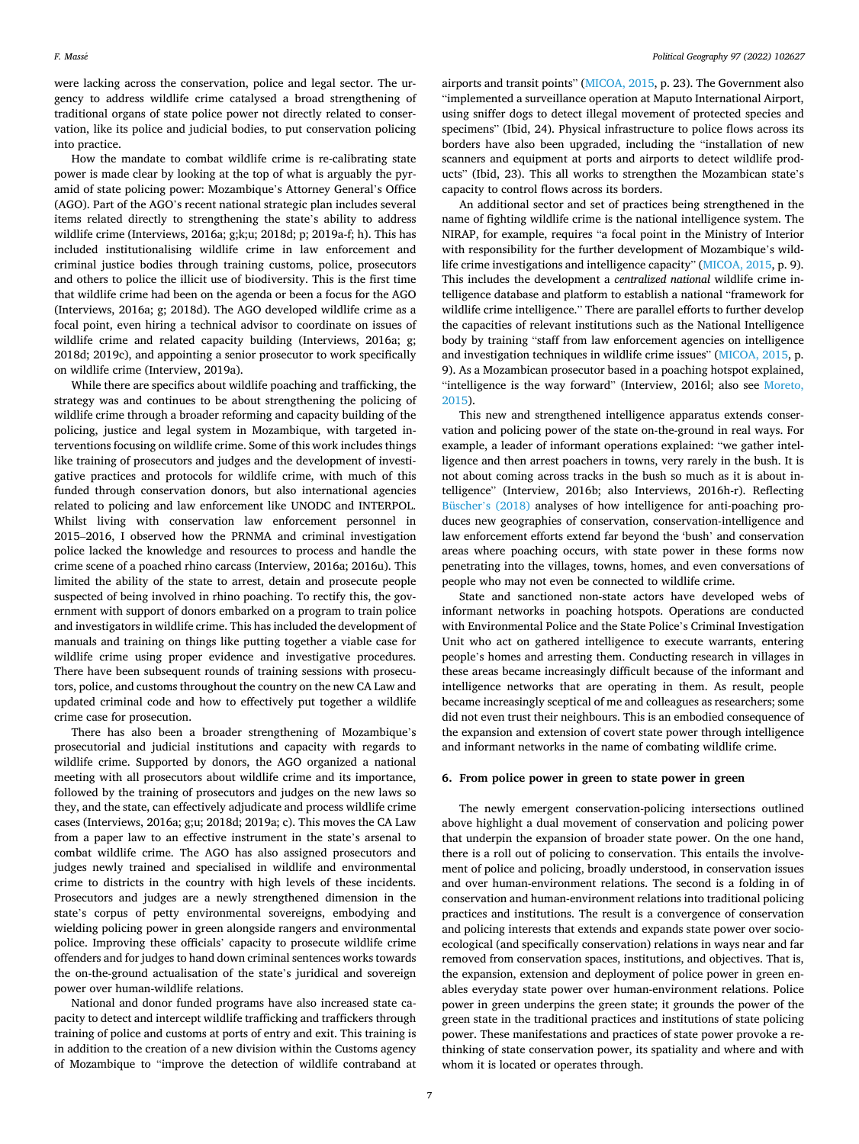were lacking across the conservation, police and legal sector. The urgency to address wildlife crime catalysed a broad strengthening of traditional organs of state police power not directly related to conservation, like its police and judicial bodies, to put conservation policing into practice.

How the mandate to combat wildlife crime is re-calibrating state power is made clear by looking at the top of what is arguably the pyramid of state policing power: Mozambique's Attorney General's Office (AGO). Part of the AGO's recent national strategic plan includes several items related directly to strengthening the state's ability to address wildlife crime (Interviews, 2016a; g;k;u; 2018d; p; 2019a-f; h). This has included institutionalising wildlife crime in law enforcement and criminal justice bodies through training customs, police, prosecutors and others to police the illicit use of biodiversity. This is the first time that wildlife crime had been on the agenda or been a focus for the AGO (Interviews, 2016a; g; 2018d). The AGO developed wildlife crime as a focal point, even hiring a technical advisor to coordinate on issues of wildlife crime and related capacity building (Interviews, 2016a; g; 2018d; 2019c), and appointing a senior prosecutor to work specifically on wildlife crime (Interview, 2019a).

While there are specifics about wildlife poaching and trafficking, the strategy was and continues to be about strengthening the policing of wildlife crime through a broader reforming and capacity building of the policing, justice and legal system in Mozambique, with targeted interventions focusing on wildlife crime. Some of this work includes things like training of prosecutors and judges and the development of investigative practices and protocols for wildlife crime, with much of this funded through conservation donors, but also international agencies related to policing and law enforcement like UNODC and INTERPOL. Whilst living with conservation law enforcement personnel in 2015–2016, I observed how the PRNMA and criminal investigation police lacked the knowledge and resources to process and handle the crime scene of a poached rhino carcass (Interview, 2016a; 2016u). This limited the ability of the state to arrest, detain and prosecute people suspected of being involved in rhino poaching. To rectify this, the government with support of donors embarked on a program to train police and investigators in wildlife crime. This has included the development of manuals and training on things like putting together a viable case for wildlife crime using proper evidence and investigative procedures. There have been subsequent rounds of training sessions with prosecutors, police, and customs throughout the country on the new CA Law and updated criminal code and how to effectively put together a wildlife crime case for prosecution.

There has also been a broader strengthening of Mozambique's prosecutorial and judicial institutions and capacity with regards to wildlife crime. Supported by donors, the AGO organized a national meeting with all prosecutors about wildlife crime and its importance, followed by the training of prosecutors and judges on the new laws so they, and the state, can effectively adjudicate and process wildlife crime cases (Interviews, 2016a; g;u; 2018d; 2019a; c). This moves the CA Law from a paper law to an effective instrument in the state's arsenal to combat wildlife crime. The AGO has also assigned prosecutors and judges newly trained and specialised in wildlife and environmental crime to districts in the country with high levels of these incidents. Prosecutors and judges are a newly strengthened dimension in the state's corpus of petty environmental sovereigns, embodying and wielding policing power in green alongside rangers and environmental police. Improving these officials' capacity to prosecute wildlife crime offenders and for judges to hand down criminal sentences works towards the on-the-ground actualisation of the state's juridical and sovereign power over human-wildlife relations.

National and donor funded programs have also increased state capacity to detect and intercept wildlife trafficking and traffickers through training of police and customs at ports of entry and exit. This training is in addition to the creation of a new division within the Customs agency of Mozambique to "improve the detection of wildlife contraband at airports and transit points" ([MICOA, 2015,](#page-9-0) p. 23). The Government also "implemented a surveillance operation at Maputo International Airport, using sniffer dogs to detect illegal movement of protected species and specimens" (Ibid, 24). Physical infrastructure to police flows across its borders have also been upgraded, including the "installation of new scanners and equipment at ports and airports to detect wildlife products" (Ibid, 23). This all works to strengthen the Mozambican state's capacity to control flows across its borders.

An additional sector and set of practices being strengthened in the name of fighting wildlife crime is the national intelligence system. The NIRAP, for example, requires "a focal point in the Ministry of Interior with responsibility for the further development of Mozambique's wildlife crime investigations and intelligence capacity" ([MICOA, 2015](#page-9-0), p. 9). This includes the development a *centralized national* wildlife crime intelligence database and platform to establish a national "framework for wildlife crime intelligence." There are parallel efforts to further develop the capacities of relevant institutions such as the National Intelligence body by training "staff from law enforcement agencies on intelligence and investigation techniques in wildlife crime issues" ([MICOA, 2015,](#page-9-0) p. 9). As a Mozambican prosecutor based in a poaching hotspot explained, "intelligence is the way forward" (Interview, 2016l; also see Moreto, [2015\)](#page-9-0).

This new and strengthened intelligence apparatus extends conservation and policing power of the state on-the-ground in real ways. For example, a leader of informant operations explained: "we gather intelligence and then arrest poachers in towns, very rarely in the bush. It is not about coming across tracks in the bush so much as it is about intelligence" (Interview, 2016b; also Interviews, 2016h-r). Reflecting Büscher'[s \(2018\)](#page-8-0) analyses of how intelligence for anti-poaching produces new geographies of conservation, conservation-intelligence and law enforcement efforts extend far beyond the 'bush' and conservation areas where poaching occurs, with state power in these forms now penetrating into the villages, towns, homes, and even conversations of people who may not even be connected to wildlife crime.

State and sanctioned non-state actors have developed webs of informant networks in poaching hotspots. Operations are conducted with Environmental Police and the State Police's Criminal Investigation Unit who act on gathered intelligence to execute warrants, entering people's homes and arresting them. Conducting research in villages in these areas became increasingly difficult because of the informant and intelligence networks that are operating in them. As result, people became increasingly sceptical of me and colleagues as researchers; some did not even trust their neighbours. This is an embodied consequence of the expansion and extension of covert state power through intelligence and informant networks in the name of combating wildlife crime.

# **6. From police power in green to state power in green**

The newly emergent conservation-policing intersections outlined above highlight a dual movement of conservation and policing power that underpin the expansion of broader state power. On the one hand, there is a roll out of policing to conservation. This entails the involvement of police and policing, broadly understood, in conservation issues and over human-environment relations. The second is a folding in of conservation and human-environment relations into traditional policing practices and institutions. The result is a convergence of conservation and policing interests that extends and expands state power over socioecological (and specifically conservation) relations in ways near and far removed from conservation spaces, institutions, and objectives. That is, the expansion, extension and deployment of police power in green enables everyday state power over human-environment relations. Police power in green underpins the green state; it grounds the power of the green state in the traditional practices and institutions of state policing power. These manifestations and practices of state power provoke a rethinking of state conservation power, its spatiality and where and with whom it is located or operates through.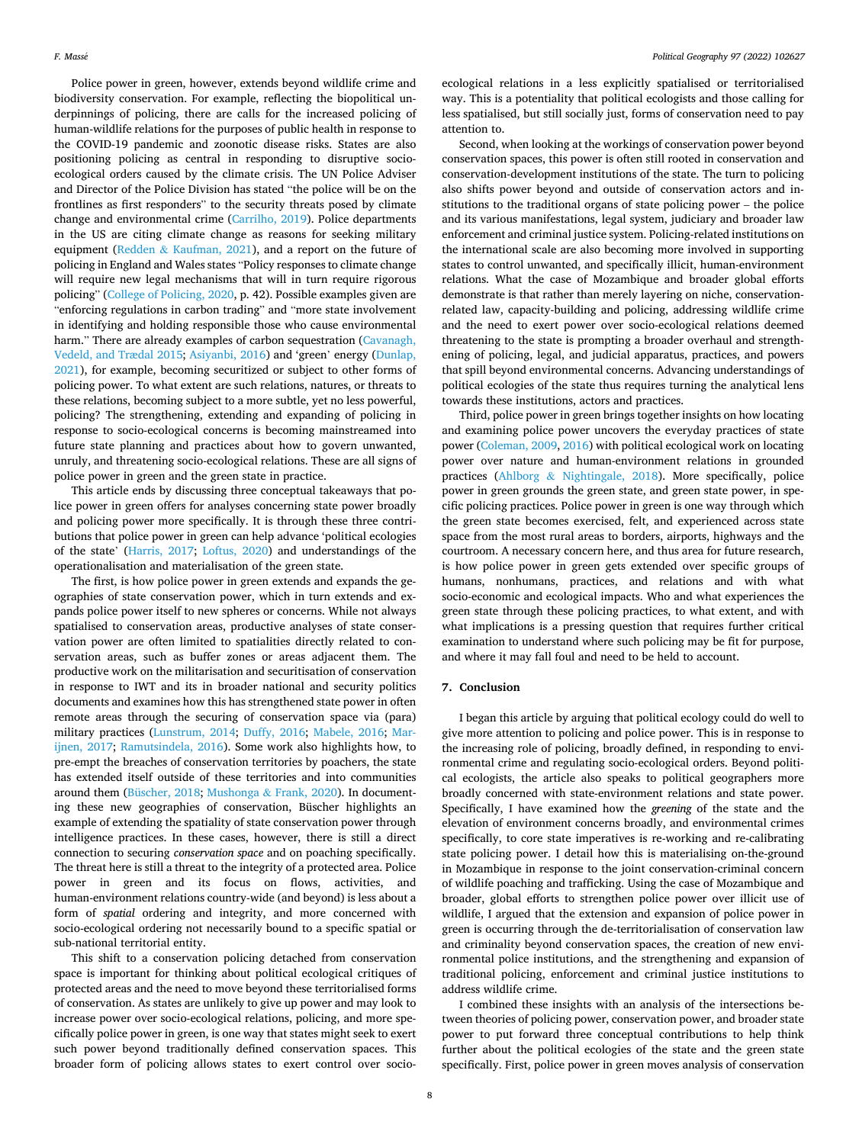Police power in green, however, extends beyond wildlife crime and biodiversity conservation. For example, reflecting the biopolitical underpinnings of policing, there are calls for the increased policing of human-wildlife relations for the purposes of public health in response to the COVID-19 pandemic and zoonotic disease risks. States are also positioning policing as central in responding to disruptive socioecological orders caused by the climate crisis. The UN Police Adviser and Director of the Police Division has stated "the police will be on the frontlines as first responders" to the security threats posed by climate change and environmental crime ([Carrilho, 2019\)](#page-8-0). Police departments in the US are citing climate change as reasons for seeking military equipment (Redden & [Kaufman, 2021\)](#page-9-0), and a report on the future of policing in England and Wales states "Policy responses to climate change will require new legal mechanisms that will in turn require rigorous policing" ([College of Policing, 2020](#page-8-0), p. 42). Possible examples given are "enforcing regulations in carbon trading" and "more state involvement in identifying and holding responsible those who cause environmental harm." There are already examples of carbon sequestration (Cavanagh, [Vedeld, and Trædal 2015; Asiyanbi, 2016\)](#page-8-0) and 'green' energy ([Dunlap,](#page-8-0)  [2021\)](#page-8-0), for example, becoming securitized or subject to other forms of policing power. To what extent are such relations, natures, or threats to these relations, becoming subject to a more subtle, yet no less powerful, policing? The strengthening, extending and expanding of policing in response to socio-ecological concerns is becoming mainstreamed into future state planning and practices about how to govern unwanted, unruly, and threatening socio-ecological relations. These are all signs of police power in green and the green state in practice.

This article ends by discussing three conceptual takeaways that police power in green offers for analyses concerning state power broadly and policing power more specifically. It is through these three contributions that police power in green can help advance 'political ecologies of the state' ([Harris, 2017;](#page-8-0) [Loftus, 2020\)](#page-8-0) and understandings of the operationalisation and materialisation of the green state.

The first, is how police power in green extends and expands the geographies of state conservation power, which in turn extends and expands police power itself to new spheres or concerns. While not always spatialised to conservation areas, productive analyses of state conservation power are often limited to spatialities directly related to conservation areas, such as buffer zones or areas adjacent them. The productive work on the militarisation and securitisation of conservation in response to IWT and its in broader national and security politics documents and examines how this has strengthened state power in often remote areas through the securing of conservation space via (para) military practices [\(Lunstrum, 2014;](#page-8-0) [Duffy, 2016;](#page-8-0) [Mabele, 2016](#page-8-0); [Mar](#page-8-0)[ijnen, 2017](#page-8-0); [Ramutsindela, 2016\)](#page-9-0). Some work also highlights how, to pre-empt the breaches of conservation territories by poachers, the state has extended itself outside of these territories and into communities around them [\(Büscher, 2018;](#page-8-0) Mushonga & [Frank, 2020\)](#page-9-0). In documenting these new geographies of conservation, Büscher highlights an example of extending the spatiality of state conservation power through intelligence practices. In these cases, however, there is still a direct connection to securing *conservation space* and on poaching specifically. The threat here is still a threat to the integrity of a protected area. Police power in green and its focus on flows, activities, and human-environment relations country-wide (and beyond) is less about a form of *spatial* ordering and integrity, and more concerned with socio-ecological ordering not necessarily bound to a specific spatial or sub-national territorial entity.

This shift to a conservation policing detached from conservation space is important for thinking about political ecological critiques of protected areas and the need to move beyond these territorialised forms of conservation. As states are unlikely to give up power and may look to increase power over socio-ecological relations, policing, and more specifically police power in green, is one way that states might seek to exert such power beyond traditionally defined conservation spaces. This broader form of policing allows states to exert control over socio-

ecological relations in a less explicitly spatialised or territorialised way. This is a potentiality that political ecologists and those calling for less spatialised, but still socially just, forms of conservation need to pay attention to.

Second, when looking at the workings of conservation power beyond conservation spaces, this power is often still rooted in conservation and conservation-development institutions of the state. The turn to policing also shifts power beyond and outside of conservation actors and institutions to the traditional organs of state policing power – the police and its various manifestations, legal system, judiciary and broader law enforcement and criminal justice system. Policing-related institutions on the international scale are also becoming more involved in supporting states to control unwanted, and specifically illicit, human-environment relations. What the case of Mozambique and broader global efforts demonstrate is that rather than merely layering on niche, conservationrelated law, capacity-building and policing, addressing wildlife crime and the need to exert power over socio-ecological relations deemed threatening to the state is prompting a broader overhaul and strengthening of policing, legal, and judicial apparatus, practices, and powers that spill beyond environmental concerns. Advancing understandings of political ecologies of the state thus requires turning the analytical lens towards these institutions, actors and practices.

Third, police power in green brings together insights on how locating and examining police power uncovers the everyday practices of state power [\(Coleman, 2009](#page-8-0), [2016](#page-8-0)) with political ecological work on locating power over nature and human-environment relations in grounded practices (Ahlborg & [Nightingale, 2018](#page-8-0)). More specifically, police power in green grounds the green state, and green state power, in specific policing practices. Police power in green is one way through which the green state becomes exercised, felt, and experienced across state space from the most rural areas to borders, airports, highways and the courtroom. A necessary concern here, and thus area for future research, is how police power in green gets extended over specific groups of humans, nonhumans, practices, and relations and with what socio-economic and ecological impacts. Who and what experiences the green state through these policing practices, to what extent, and with what implications is a pressing question that requires further critical examination to understand where such policing may be fit for purpose, and where it may fall foul and need to be held to account.

## **7. Conclusion**

I began this article by arguing that political ecology could do well to give more attention to policing and police power. This is in response to the increasing role of policing, broadly defined, in responding to environmental crime and regulating socio-ecological orders. Beyond political ecologists, the article also speaks to political geographers more broadly concerned with state-environment relations and state power. Specifically, I have examined how the *greening* of the state and the elevation of environment concerns broadly, and environmental crimes specifically, to core state imperatives is re-working and re-calibrating state policing power. I detail how this is materialising on-the-ground in Mozambique in response to the joint conservation-criminal concern of wildlife poaching and trafficking. Using the case of Mozambique and broader, global efforts to strengthen police power over illicit use of wildlife, I argued that the extension and expansion of police power in green is occurring through the de-territorialisation of conservation law and criminality beyond conservation spaces, the creation of new environmental police institutions, and the strengthening and expansion of traditional policing, enforcement and criminal justice institutions to address wildlife crime.

I combined these insights with an analysis of the intersections between theories of policing power, conservation power, and broader state power to put forward three conceptual contributions to help think further about the political ecologies of the state and the green state specifically. First, police power in green moves analysis of conservation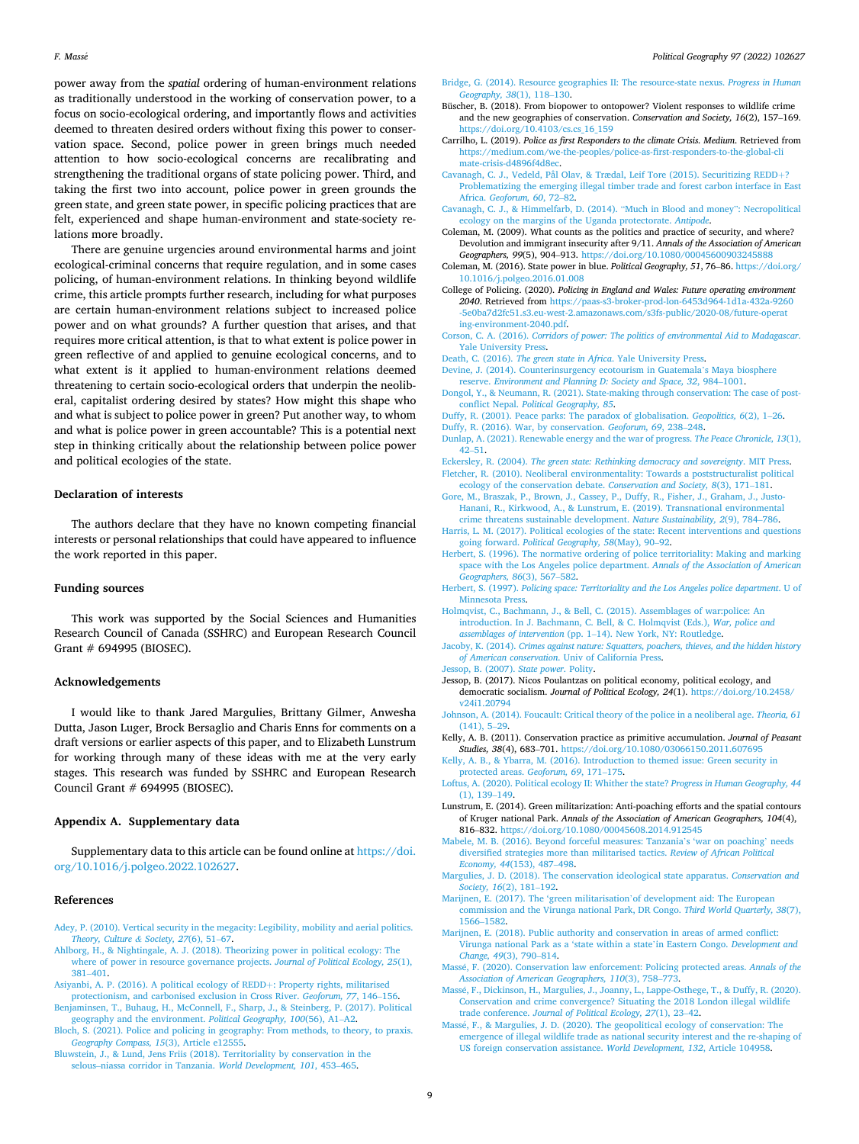<span id="page-8-0"></span>power away from the *spatial* ordering of human-environment relations as traditionally understood in the working of conservation power, to a focus on socio-ecological ordering, and importantly flows and activities deemed to threaten desired orders without fixing this power to conservation space. Second, police power in green brings much needed attention to how socio-ecological concerns are recalibrating and strengthening the traditional organs of state policing power. Third, and taking the first two into account, police power in green grounds the green state, and green state power, in specific policing practices that are felt, experienced and shape human-environment and state-society relations more broadly.

There are genuine urgencies around environmental harms and joint ecological-criminal concerns that require regulation, and in some cases policing, of human-environment relations. In thinking beyond wildlife crime, this article prompts further research, including for what purposes are certain human-environment relations subject to increased police power and on what grounds? A further question that arises, and that requires more critical attention, is that to what extent is police power in green reflective of and applied to genuine ecological concerns, and to what extent is it applied to human-environment relations deemed threatening to certain socio-ecological orders that underpin the neoliberal, capitalist ordering desired by states? How might this shape who and what is subject to police power in green? Put another way, to whom and what is police power in green accountable? This is a potential next step in thinking critically about the relationship between police power and political ecologies of the state.

### **Declaration of interests**

The authors declare that they have no known competing financial interests or personal relationships that could have appeared to influence the work reported in this paper.

#### **Funding sources**

This work was supported by the Social Sciences and Humanities Research Council of Canada (SSHRC) and European Research Council Grant # 694995 (BIOSEC).

## **Acknowledgements**

I would like to thank Jared Margulies, Brittany Gilmer, Anwesha Dutta, Jason Luger, Brock Bersaglio and Charis Enns for comments on a draft versions or earlier aspects of this paper, and to Elizabeth Lunstrum for working through many of these ideas with me at the very early stages. This research was funded by SSHRC and European Research Council Grant # 694995 (BIOSEC).

### **Appendix A. Supplementary data**

Supplementary data to this article can be found online at [https://doi.](https://doi.org/10.1016/j.polgeo.2022.102627)  [org/10.1016/j.polgeo.2022.102627.](https://doi.org/10.1016/j.polgeo.2022.102627)

### **References**

- [Adey, P. \(2010\). Vertical security in the megacity: Legibility, mobility and aerial politics.](http://refhub.elsevier.com/S0962-6298(22)00041-5/sref4)  *[Theory, Culture](http://refhub.elsevier.com/S0962-6298(22)00041-5/sref4) & Society, 27*(6), 51–67.
- [Ahlborg, H., & Nightingale, A. J. \(2018\). Theorizing power in political ecology: The](http://refhub.elsevier.com/S0962-6298(22)00041-5/sref5)  [where of power in resource governance projects.](http://refhub.elsevier.com/S0962-6298(22)00041-5/sref5) *Journal of Political Ecology, 25*(1), 381–[401](http://refhub.elsevier.com/S0962-6298(22)00041-5/sref5).
- [Asiyanbi, A. P. \(2016\). A political ecology of REDD](http://refhub.elsevier.com/S0962-6298(22)00041-5/sref6)+: Property rights, militarised [protectionism, and carbonised exclusion in Cross River.](http://refhub.elsevier.com/S0962-6298(22)00041-5/sref6) *Geoforum, 77*, 146–156.
- [Benjaminsen, T., Buhaug, H., McConnell, F., Sharp, J., & Steinberg, P. \(2017\). Political](http://refhub.elsevier.com/S0962-6298(22)00041-5/sref7)  [geography and the environment.](http://refhub.elsevier.com/S0962-6298(22)00041-5/sref7) *Political Geography, 100*(56), A1–A2.
- [Bloch, S. \(2021\). Police and policing in geography: From methods, to theory, to praxis.](http://refhub.elsevier.com/S0962-6298(22)00041-5/sref8)  *[Geography Compass, 15](http://refhub.elsevier.com/S0962-6298(22)00041-5/sref8)*(3), Article e12555.
- [Bluwstein, J., & Lund, Jens Friis \(2018\). Territoriality by conservation in the](http://refhub.elsevier.com/S0962-6298(22)00041-5/sref9) selous–[niassa corridor in Tanzania.](http://refhub.elsevier.com/S0962-6298(22)00041-5/sref9) *World Development, 101*, 453–465.
- [Bridge, G. \(2014\). Resource geographies II: The resource-state nexus.](http://refhub.elsevier.com/S0962-6298(22)00041-5/sref11) *Progress in Human [Geography, 38](http://refhub.elsevier.com/S0962-6298(22)00041-5/sref11)*(1), 118–130.
- Büscher, B. (2018). From biopower to ontopower? Violent responses to wildlife crime and the new geographies of conservation. *Conservation and Society, 16*(2), 157–169. [https://doi.org/10.4103/cs.cs\\_16\\_159](https://doi.org/10.4103/cs.cs_16_159)
- Carrilho, L. (2019). *Police as first Responders to the climate Crisis. Medium*. Retrieved from [https://medium.com/we-the-peoples/police-as-first-responders-to-the-global-cli](https://medium.com/we-the-peoples/police-as-first-responders-to-the-global-climate-crisis-d4896f4d8ec)  [mate-crisis-d4896f4d8ec.](https://medium.com/we-the-peoples/police-as-first-responders-to-the-global-climate-crisis-d4896f4d8ec)
- [Cavanagh, C. J., Vedeld, Pål Olav, & Trædal, Leif Tore \(2015\). Securitizing REDD](http://refhub.elsevier.com/S0962-6298(22)00041-5/sref14)+? [Problematizing the emerging illegal timber trade and forest carbon interface in East](http://refhub.elsevier.com/S0962-6298(22)00041-5/sref14)  Africa. *[Geoforum, 60](http://refhub.elsevier.com/S0962-6298(22)00041-5/sref14)*, 72–82.
- [Cavanagh, C. J., & Himmelfarb, D. \(2014\).](http://refhub.elsevier.com/S0962-6298(22)00041-5/sref15) "Much in Blood and money": Necropolitical [ecology on the margins of the Uganda protectorate.](http://refhub.elsevier.com/S0962-6298(22)00041-5/sref15) *Antipode*.
- Coleman, M. (2009). What counts as the politics and practice of security, and where? Devolution and immigrant insecurity after 9/11. *Annals of the Association of American Geographers, 99*(5), 904–913.<https://doi.org/10.1080/00045600903245888>
- Coleman, M. (2016). State power in blue. *Political Geography, 51*, 76–86. [https://doi.org/](https://doi.org/10.1016/j.polgeo.2016.01.008)  [10.1016/j.polgeo.2016.01.008](https://doi.org/10.1016/j.polgeo.2016.01.008)
- College of Policing. (2020). *Policing in England and Wales: Future operating environment 2040*. Retrieved from [https://paas-s3-broker-prod-lon-6453d964-1d1a-432a-9260](https://paas-s3-broker-prod-lon-6453d964-1d1a-432a-9260-5e0ba7d2fc51.s3.eu-west-2.amazonaws.com/s3fs-public/2020-08/future-operating-environment-2040.pdf) [-5e0ba7d2fc51.s3.eu-west-2.amazonaws.com/s3fs-public/2020-08/future-operat](https://paas-s3-broker-prod-lon-6453d964-1d1a-432a-9260-5e0ba7d2fc51.s3.eu-west-2.amazonaws.com/s3fs-public/2020-08/future-operating-environment-2040.pdf) [ing-environment-2040.pdf.](https://paas-s3-broker-prod-lon-6453d964-1d1a-432a-9260-5e0ba7d2fc51.s3.eu-west-2.amazonaws.com/s3fs-public/2020-08/future-operating-environment-2040.pdf)
- Corson, C. A. (2016). *[Corridors of power: The politics of environmental Aid to Madagascar](http://refhub.elsevier.com/S0962-6298(22)00041-5/sref18)*. [Yale University Press.](http://refhub.elsevier.com/S0962-6298(22)00041-5/sref18)
- Death, C. (2016). *[The green state in Africa](http://refhub.elsevier.com/S0962-6298(22)00041-5/sref19)*. Yale University Press.
- [Devine, J. \(2014\). Counterinsurgency ecotourism in Guatemala](http://refhub.elsevier.com/S0962-6298(22)00041-5/sref20)'s Maya biosphere reserve. *[Environment and Planning D: Society and Space, 32](http://refhub.elsevier.com/S0962-6298(22)00041-5/sref20)*, 984–1001.
- [Dongol, Y., & Neumann, R. \(2021\). State-making through conservation: The case of post](http://refhub.elsevier.com/S0962-6298(22)00041-5/sref21)conflict Nepal. *[Political Geography, 85](http://refhub.elsevier.com/S0962-6298(22)00041-5/sref21)*.
- [Duffy, R. \(2001\). Peace parks: The paradox of globalisation.](http://refhub.elsevier.com/S0962-6298(22)00041-5/sref22) *Geopolitics, 6*(2), 1–26. [Duffy, R. \(2016\). War, by conservation.](http://refhub.elsevier.com/S0962-6298(22)00041-5/sref23) *Geoforum, 69*, 238–248.
- [Dunlap, A. \(2021\). Renewable energy and the war of progress.](http://refhub.elsevier.com/S0962-6298(22)00041-5/sref24) *The Peace Chronicle, 13*(1),
- 42–[51](http://refhub.elsevier.com/S0962-6298(22)00041-5/sref24). Eckersley, R. (2004). *[The green state: Rethinking democracy and sovereignty](http://refhub.elsevier.com/S0962-6298(22)00041-5/sref25)*. MIT Press. [Fletcher, R. \(2010\). Neoliberal environmentality: Towards a poststructuralist political](http://refhub.elsevier.com/S0962-6298(22)00041-5/sref26)
- [ecology of the conservation debate.](http://refhub.elsevier.com/S0962-6298(22)00041-5/sref26) *Conservation and Society, 8*(3), 171–181. [Gore, M., Braszak, P., Brown, J., Cassey, P., Duffy, R., Fisher, J., Graham, J., Justo-](http://refhub.elsevier.com/S0962-6298(22)00041-5/sref27)
- [Hanani, R., Kirkwood, A., & Lunstrum, E. \(2019\). Transnational environmental](http://refhub.elsevier.com/S0962-6298(22)00041-5/sref27) [crime threatens sustainable development.](http://refhub.elsevier.com/S0962-6298(22)00041-5/sref27) *Nature Sustainability, 2*(9), 784–786.
- [Harris, L. M. \(2017\). Political ecologies of the state: Recent interventions and questions](http://refhub.elsevier.com/S0962-6298(22)00041-5/sref28)  going forward. *[Political Geography, 58](http://refhub.elsevier.com/S0962-6298(22)00041-5/sref28)*(May), 90–92.
- [Herbert, S. \(1996\). The normative ordering of police territoriality: Making and marking](http://refhub.elsevier.com/S0962-6298(22)00041-5/sref29)  [space with the Los Angeles police department.](http://refhub.elsevier.com/S0962-6298(22)00041-5/sref29) *Annals of the Association of American [Geographers, 86](http://refhub.elsevier.com/S0962-6298(22)00041-5/sref29)*(3), 567–582.
- Herbert, S. (1997). *[Policing space: Territoriality and the Los Angeles police department](http://refhub.elsevier.com/S0962-6298(22)00041-5/sref3)*. U of [Minnesota Press](http://refhub.elsevier.com/S0962-6298(22)00041-5/sref3).
- [Holmqvist, C., Bachmann, J., & Bell, C. \(2015\). Assemblages of war:police: An](http://refhub.elsevier.com/S0962-6298(22)00041-5/sref30) [introduction. In J. Bachmann, C. Bell, & C. Holmqvist \(Eds.\),](http://refhub.elsevier.com/S0962-6298(22)00041-5/sref30) *War, police and assemblages of intervention* (pp. 1–[14\). New York, NY: Routledge](http://refhub.elsevier.com/S0962-6298(22)00041-5/sref30).
- Jacoby, K. (2014). *[Crimes against nature: Squatters, poachers, thieves, and the hidden history](http://refhub.elsevier.com/S0962-6298(22)00041-5/sref31)  of American conservation*[. Univ of California Press.](http://refhub.elsevier.com/S0962-6298(22)00041-5/sref31)
- [Jessop, B. \(2007\).](http://refhub.elsevier.com/S0962-6298(22)00041-5/sref32) *State power*. Polity.
- Jessop, B. (2017). Nicos Poulantzas on political economy, political ecology, and democratic socialism. *Journal of Political Ecology, 24*(1). [https://doi.org/10.2458/](https://doi.org/10.2458/v24i1.20794) [v24i1.20794](https://doi.org/10.2458/v24i1.20794)
- [Johnson, A. \(2014\). Foucault: Critical theory of the police in a neoliberal age.](http://refhub.elsevier.com/S0962-6298(22)00041-5/sref33) *Theoria, 61*  [\(141\), 5](http://refhub.elsevier.com/S0962-6298(22)00041-5/sref33)–29.
- Kelly, A. B. (2011). Conservation practice as primitive accumulation. *Journal of Peasant Studies, 38*(4), 683–701. <https://doi.org/10.1080/03066150.2011.607695>
- [Kelly, A. B., & Ybarra, M. \(2016\). Introduction to themed issue: Green security in](http://refhub.elsevier.com/S0962-6298(22)00041-5/sref35) [protected areas.](http://refhub.elsevier.com/S0962-6298(22)00041-5/sref35) *Geoforum, 69*, 171–175.
- [Loftus, A. \(2020\). Political ecology II: Whither the state?](http://refhub.elsevier.com/S0962-6298(22)00041-5/sref36) *Progress in Human Geography, 44*  [\(1\), 139](http://refhub.elsevier.com/S0962-6298(22)00041-5/sref36)–149.
- Lunstrum, E. (2014). Green militarization: Anti-poaching efforts and the spatial contours of Kruger national Park. *Annals of the Association of American Geographers, 104*(4), 816–832. <https://doi.org/10.1080/00045608.2014.912545>
- [Mabele, M. B. \(2016\). Beyond forceful measures: Tanzania](http://refhub.elsevier.com/S0962-6298(22)00041-5/sref38)'s 'war on poaching' needs [diversified strategies more than militarised tactics.](http://refhub.elsevier.com/S0962-6298(22)00041-5/sref38) *Review of African Political [Economy, 44](http://refhub.elsevier.com/S0962-6298(22)00041-5/sref38)*(153), 487–498.
- [Margulies, J. D. \(2018\). The conservation ideological state apparatus.](http://refhub.elsevier.com/S0962-6298(22)00041-5/sref39) *Conservation and [Society, 16](http://refhub.elsevier.com/S0962-6298(22)00041-5/sref39)*(2), 181–192.
- [Marijnen, E. \(2017\). The 'green militarisation](http://refhub.elsevier.com/S0962-6298(22)00041-5/sref40)'of development aid: The European [commission and the Virunga national Park, DR Congo.](http://refhub.elsevier.com/S0962-6298(22)00041-5/sref40) *Third World Quarterly, 38*(7), [1566](http://refhub.elsevier.com/S0962-6298(22)00041-5/sref40)–1582.
- [Marijnen, E. \(2018\). Public authority and conservation in areas of armed conflict:](http://refhub.elsevier.com/S0962-6298(22)00041-5/sref2) [Virunga national Park as a 'state within a state](http://refhub.elsevier.com/S0962-6298(22)00041-5/sref2)'in Eastern Congo. *Development and [Change, 49](http://refhub.elsevier.com/S0962-6298(22)00041-5/sref2)*(3), 790–814.
- Massé, F. (2020). Conservation law enforcement: Policing protected areas. Annals of the *[Association of American Geographers, 110](http://refhub.elsevier.com/S0962-6298(22)00041-5/sref41)*(3), 758–773.
- Massé, F., Dickinson, H., Margulies, J., Joanny, L., Lappe-Osthege, T., & Duffy, R. (2020). [Conservation and crime convergence? Situating the 2018 London illegal wildlife](http://refhub.elsevier.com/S0962-6298(22)00041-5/sref42) trade conference. *[Journal of Political Ecology, 27](http://refhub.elsevier.com/S0962-6298(22)00041-5/sref42)*(1), 23–42.
- Massé, F., & Margulies, J. D. (2020). The geopolitical ecology of conservation: The [emergence of illegal wildlife trade as national security interest and the re-shaping of](http://refhub.elsevier.com/S0962-6298(22)00041-5/sref43)  [US foreign conservation assistance.](http://refhub.elsevier.com/S0962-6298(22)00041-5/sref43) *World Development, 132*, Article 104958.